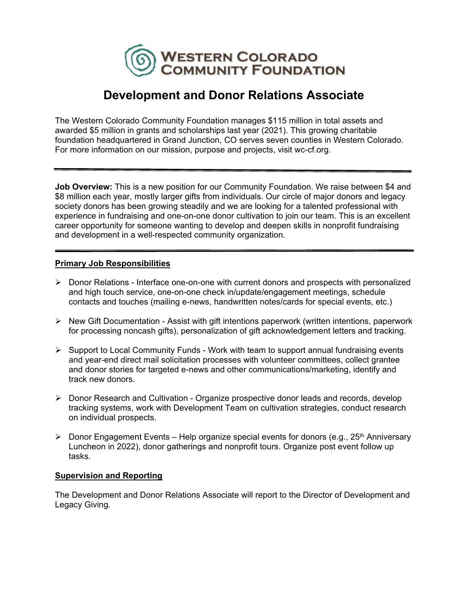

# **Development and Donor Relations Associate**

The Western Colorado Community Foundation manages \$115 million in total assets and awarded \$5 million in grants and scholarships last year (2021). This growing charitable foundation headquartered in Grand Junction, CO serves seven counties in Western Colorado. For more information on our mission, purpose and projects, visit wc-cf.org.

**Job Overview:** This is a new position for our Community Foundation. We raise between \$4 and \$8 million each year, mostly larger gifts from individuals. Our circle of major donors and legacy society donors has been growing steadily and we are looking for a talented professional with experience in fundraising and one-on-one donor cultivation to join our team. This is an excellent career opportunity for someone wanting to develop and deepen skills in nonprofit fundraising and development in a well-respected community organization.

# **Primary Job Responsibilities**

- ▶ Donor Relations Interface one-on-one with current donors and prospects with personalized and high touch service, one-on-one check in/update/engagement meetings, schedule contacts and touches (mailing e-news, handwritten notes/cards for special events, etc.)
- $\triangleright$  New Gift Documentation Assist with gift intentions paperwork (written intentions, paperwork for processing noncash gifts), personalization of gift acknowledgement letters and tracking.
- $\triangleright$  Support to Local Community Funds Work with team to support annual fundraising events and year-end direct mail solicitation processes with volunteer committees, collect grantee and donor stories for targeted e-news and other communications/marketing, identify and track new donors.
- ▶ Donor Research and Cultivation Organize prospective donor leads and records, develop tracking systems, work with Development Team on cultivation strategies, conduct research on individual prospects.
- $\triangleright$  Donor Engagement Events Help organize special events for donors (e.g., 25<sup>th</sup> Anniversary Luncheon in 2022), donor gatherings and nonprofit tours. Organize post event follow up tasks.

# **Supervision and Reporting**

The Development and Donor Relations Associate will report to the Director of Development and Legacy Giving.